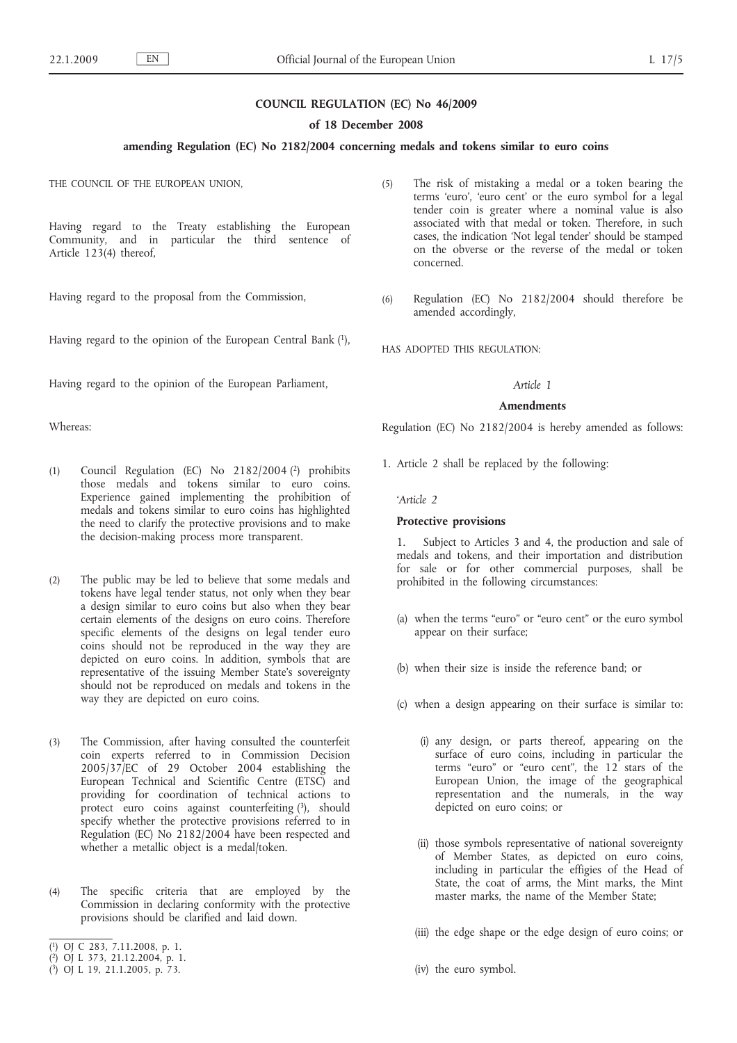## **COUNCIL REGULATION (EC) No 46/2009**

### **of 18 December 2008**

## **amending Regulation (EC) No 2182/2004 concerning medals and tokens similar to euro coins**

THE COUNCIL OF THE EUROPEAN UNION,

Having regard to the Treaty establishing the European Community, and in particular the third sentence of Article 123(4) thereof,

Having regard to the proposal from the Commission,

Having regard to the opinion of the European Central Bank (1),

Having regard to the opinion of the European Parliament,

Whereas:

- (1) Council Regulation (EC) No 2182/2004 (2) prohibits those medals and tokens similar to euro coins. Experience gained implementing the prohibition of medals and tokens similar to euro coins has highlighted the need to clarify the protective provisions and to make the decision-making process more transparent.
- (2) The public may be led to believe that some medals and tokens have legal tender status, not only when they bear a design similar to euro coins but also when they bear certain elements of the designs on euro coins. Therefore specific elements of the designs on legal tender euro coins should not be reproduced in the way they are depicted on euro coins. In addition, symbols that are representative of the issuing Member State's sovereignty should not be reproduced on medals and tokens in the way they are depicted on euro coins.
- (3) The Commission, after having consulted the counterfeit coin experts referred to in Commission Decision 2005/37/EC of 29 October 2004 establishing the European Technical and Scientific Centre (ETSC) and providing for coordination of technical actions to protect euro coins against counterfeiting  $(3)$ , should specify whether the protective provisions referred to in Regulation (EC) No 2182/2004 have been respected and whether a metallic object is a medal/token.
- (4) The specific criteria that are employed by the Commission in declaring conformity with the protective provisions should be clarified and laid down.
- ( 1) OJ C 283, 7.11.2008, p. 1.
- ( 2) OJ L 373, 21.12.2004, p. 1.
- ( 3) OJ L 19, 21.1.2005, p. 73.
- (5) The risk of mistaking a medal or a token bearing the terms 'euro', 'euro cent' or the euro symbol for a legal tender coin is greater where a nominal value is also associated with that medal or token. Therefore, in such cases, the indication 'Not legal tender' should be stamped on the obverse or the reverse of the medal or token concerned.
- (6) Regulation (EC) No 2182/2004 should therefore be amended accordingly,

HAS ADOPTED THIS REGULATION:

## *Article 1*

### **Amendments**

Regulation (EC) No 2182/2004 is hereby amended as follows:

1. Article 2 shall be replaced by the following:

*'Article 2*

# **Protective provisions**

1. Subject to Articles 3 and 4, the production and sale of medals and tokens, and their importation and distribution for sale or for other commercial purposes, shall be prohibited in the following circumstances:

- (a) when the terms "euro" or "euro cent" or the euro symbol appear on their surface;
- (b) when their size is inside the reference band; or
- (c) when a design appearing on their surface is similar to:
	- (i) any design, or parts thereof, appearing on the surface of euro coins, including in particular the terms "euro" or "euro cent", the 12 stars of the European Union, the image of the geographical representation and the numerals, in the way depicted on euro coins; or
	- (ii) those symbols representative of national sovereignty of Member States, as depicted on euro coins, including in particular the effigies of the Head of State, the coat of arms, the Mint marks, the Mint master marks, the name of the Member State;
	- (iii) the edge shape or the edge design of euro coins; or
	- (iv) the euro symbol.